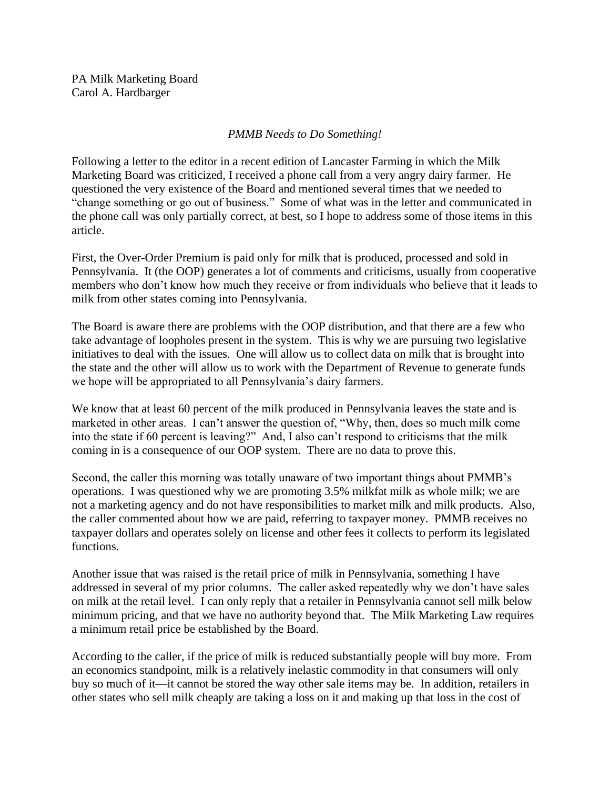PA Milk Marketing Board Carol A. Hardbarger

## *PMMB Needs to Do Something!*

Following a letter to the editor in a recent edition of Lancaster Farming in which the Milk Marketing Board was criticized, I received a phone call from a very angry dairy farmer. He questioned the very existence of the Board and mentioned several times that we needed to "change something or go out of business." Some of what was in the letter and communicated in the phone call was only partially correct, at best, so I hope to address some of those items in this article.

First, the Over-Order Premium is paid only for milk that is produced, processed and sold in Pennsylvania. It (the OOP) generates a lot of comments and criticisms, usually from cooperative members who don't know how much they receive or from individuals who believe that it leads to milk from other states coming into Pennsylvania.

The Board is aware there are problems with the OOP distribution, and that there are a few who take advantage of loopholes present in the system. This is why we are pursuing two legislative initiatives to deal with the issues. One will allow us to collect data on milk that is brought into the state and the other will allow us to work with the Department of Revenue to generate funds we hope will be appropriated to all Pennsylvania's dairy farmers.

We know that at least 60 percent of the milk produced in Pennsylvania leaves the state and is marketed in other areas. I can't answer the question of, "Why, then, does so much milk come into the state if 60 percent is leaving?" And, I also can't respond to criticisms that the milk coming in is a consequence of our OOP system. There are no data to prove this.

Second, the caller this morning was totally unaware of two important things about PMMB's operations. I was questioned why we are promoting 3.5% milkfat milk as whole milk; we are not a marketing agency and do not have responsibilities to market milk and milk products. Also, the caller commented about how we are paid, referring to taxpayer money. PMMB receives no taxpayer dollars and operates solely on license and other fees it collects to perform its legislated functions.

Another issue that was raised is the retail price of milk in Pennsylvania, something I have addressed in several of my prior columns. The caller asked repeatedly why we don't have sales on milk at the retail level. I can only reply that a retailer in Pennsylvania cannot sell milk below minimum pricing, and that we have no authority beyond that. The Milk Marketing Law requires a minimum retail price be established by the Board.

According to the caller, if the price of milk is reduced substantially people will buy more. From an economics standpoint, milk is a relatively inelastic commodity in that consumers will only buy so much of it—it cannot be stored the way other sale items may be. In addition, retailers in other states who sell milk cheaply are taking a loss on it and making up that loss in the cost of